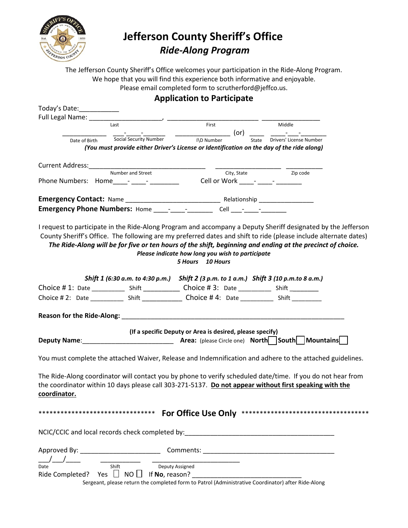

## **Jefferson County Sheriff's Office**  *Ride-Along Program*

The Jefferson County Sheriff's Office welcomes your participation in the Ride-Along Program. We hope that you will find this experience both informative and enjoyable. Please email completed form to scrutherford@jeffco.us.

| <b>Application to Participate</b> |                                                                                                                                                                                                                                                                                                                                                 |                                                                                |             |          |  |
|-----------------------------------|-------------------------------------------------------------------------------------------------------------------------------------------------------------------------------------------------------------------------------------------------------------------------------------------------------------------------------------------------|--------------------------------------------------------------------------------|-------------|----------|--|
| Today's Date:                     |                                                                                                                                                                                                                                                                                                                                                 |                                                                                |             |          |  |
| Full Legal Name: ______           |                                                                                                                                                                                                                                                                                                                                                 |                                                                                |             |          |  |
|                                   | Last                                                                                                                                                                                                                                                                                                                                            | First<br>______________________ (or) _______ _____                             |             | Middle   |  |
| Date of Birth                     | Social Security Number<br>(You must provide either Driver's License or Identification on the day of the ride along)                                                                                                                                                                                                                             | I\D Number                                                                     | State       |          |  |
| Current Address:                  |                                                                                                                                                                                                                                                                                                                                                 |                                                                                |             |          |  |
|                                   | Number and Street<br>Phone Numbers: Home_____-________________________Cell or Work _____- ______- ________                                                                                                                                                                                                                                      |                                                                                | City, State | Zip code |  |
|                                   |                                                                                                                                                                                                                                                                                                                                                 |                                                                                |             |          |  |
|                                   | I request to participate in the Ride-Along Program and accompany a Deputy Sheriff designated by the Jefferson<br>County Sheriff's Office. The following are my preferred dates and shift to ride (please include alternate dates)<br>The Ride-Along will be for five or ten hours of the shift, beginning and ending at the precinct of choice. | Please indicate how long you wish to participate<br>10 Hours<br><b>5 Hours</b> |             |          |  |
|                                   | Shift 1 (6:30 a.m. to 4:30 p.m.) Shift 2 (3 p.m. to 1 a.m.) Shift 3 (10 p.m.to 8 a.m.)                                                                                                                                                                                                                                                          |                                                                                |             |          |  |
|                                   |                                                                                                                                                                                                                                                                                                                                                 |                                                                                |             |          |  |
|                                   | Choice # 2: Date _____________ Shift ________________ Choice # 4: Date ___________ Shift __________                                                                                                                                                                                                                                             |                                                                                |             |          |  |
|                                   |                                                                                                                                                                                                                                                                                                                                                 |                                                                                |             |          |  |
|                                   |                                                                                                                                                                                                                                                                                                                                                 | (If a specific Deputy or Area is desired, please specify)                      |             |          |  |
|                                   | You must complete the attached Waiver, Release and Indemnification and adhere to the attached guidelines.                                                                                                                                                                                                                                       |                                                                                |             |          |  |
| coordinator.                      | The Ride-Along coordinator will contact you by phone to verify scheduled date/time. If you do not hear from<br>the coordinator within 10 days please call 303-271-5137. Do not appear without first speaking with the                                                                                                                           |                                                                                |             |          |  |
| ********************************  |                                                                                                                                                                                                                                                                                                                                                 |                                                                                |             |          |  |
|                                   | NCIC/CCIC and local records check completed by:__________________________________                                                                                                                                                                                                                                                               |                                                                                |             |          |  |
|                                   |                                                                                                                                                                                                                                                                                                                                                 |                                                                                |             |          |  |
| Date                              | <u>Shift</u> Deputy Assis                                                                                                                                                                                                                                                                                                                       | Deputy Assigned                                                                |             |          |  |
|                                   | Ride Completed? Yes $\Box$ NO $\Box$ If No, reason?                                                                                                                                                                                                                                                                                             |                                                                                |             |          |  |
|                                   | Sergeant, please return the completed form to Patrol (Administrative Coordinator) after Ride-Along                                                                                                                                                                                                                                              |                                                                                |             |          |  |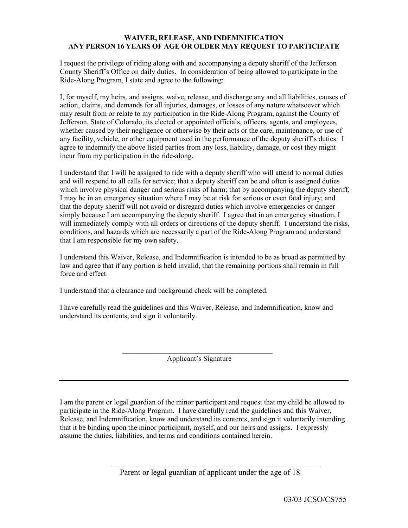## **WAIVER, RELEASE, AND INDEMNIFICATION ANY PERSON 16 YEARS OF AGE OR OLDER MAY REQUEST TO PARTICIPATE**

I request the privilege of riding along with and accompanying a deputy sheriff of the Jefferson County Sheriff's Office on daily duties. In consideration of being allowed to participate in the Ride-Along Program, I state and agree to the following:

I, for myself, my heirs, and assigns, waive, release, and discharge any and all liabilities, causes of action, claims, and demands for all injuries, damages, or losses of any nature whatsoever which may result from or relate to my participation in the Ride-Along Program, against the County of Jefferson, State of Colorado, its elected or appointed officials, officers, agents, and employees, whether caused by their negligence or otherwise by their acts or the care, maintenance, or use of any facility, vehicle, or other equipment used in the performance of the deputy sheriff's duties. I agree to indemnify the above listed parties from any loss, liability, damage, or cost they might incur from my participation in the ride-along.

I understand that I will be assigned to ride with a deputy sheriff who will attend to normal duties and will respond to all calls for service; that a deputy sheriff can be and often is assigned duties which involve physical danger and serious risks of harm; that by accompanying the deputy sheriff, I may be in an emergency situation where I may be at risk for serious or even fatal injury; and that the deputy sheriff will not avoid or disregard duties which involve emergencies or danger simply because I am accompanying the deputy sheriff. I agree that in an emergency situation, I will immediately comply with all orders or directions of the deputy sheriff. I understand the risks, conditions, and hazards which are necessarily a part of the Ride-Along Program and understand that I am responsible for my own safety.

I understand this Waiver, Release, and Indemnification is intended to be as broad as permitted by law and agree that if any portion is held invalid, that the remaining portions shall remain in full force and effect.

I understand that a clearance and background check will be completed.

I have carefully read the guidelines and this Waiver, Release, and Indemnification, know and understand its contents, and sign it voluntarily.

> $\mathcal{L}_\text{max}$  , and the set of the set of the set of the set of the set of the set of the set of the set of the set of the set of the set of the set of the set of the set of the set of the set of the set of the set of the Applicant's Signature

I am the parent or legal guardian of the minor participant and request that my child be allowed to participate in the Ride-Along Program. I have carefully read the guidelines and this Waiver, Release, and Indemnification, know and understand its contents, and sign it voluntarily intending that it be binding upon the minor participant, myself, and our heirs and assigns. I expressly assume the duties, liabilities, and terms and conditions contained herein.

\_\_\_\_\_\_\_\_\_\_\_\_\_\_\_\_\_\_\_\_\_\_\_\_\_\_\_\_\_\_\_\_\_\_\_\_\_\_\_\_\_\_\_\_\_\_\_\_\_\_\_\_